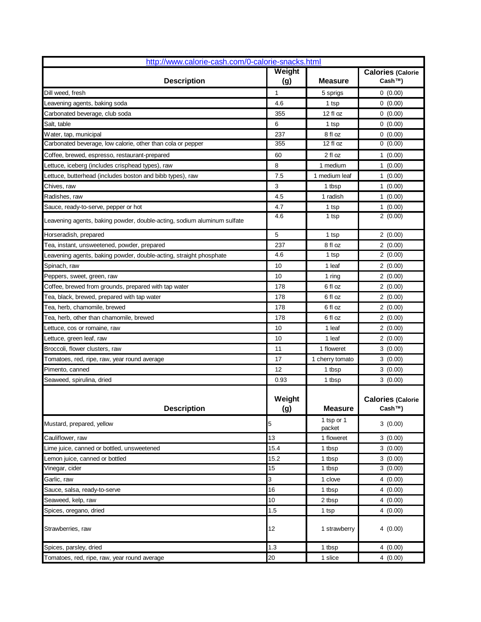| Weight<br><b>Calories (Calorie</b><br><b>Description</b><br>Cash™)<br>(g)<br><b>Measure</b><br>1<br>0(0.00)<br>5 sprigs<br>0(0.00)<br>4.6<br>1 tsp<br>12 fl oz<br>355<br>0(0.00)<br>6<br>0(0.00)<br>1 tsp<br>237<br>0(0.00)<br>8 fl oz<br>355<br>12 fl oz<br>0(0.00)<br>2 fl oz<br>1(0.00)<br>60<br>8<br>1 medium<br>1(0.00)<br>7.5<br>1 medium leaf<br>1(0.00)<br>3<br>1 tbsp<br>1(0.00)<br>4.5<br>1 radish<br>1(0.00)<br>1(0.00)<br>4.7<br>1 tsp<br>2(0.00)<br>4.6<br>1 tsp<br>5<br>2(0.00)<br>1 tsp<br>237<br>8 fl oz<br>2(0.00)<br>4.6<br>2(0.00)<br>1 tsp<br>10<br>1 leaf<br>2(0.00)<br>10<br>2(0.00)<br>1 ring<br>178<br>6 fl oz<br>2(0.00)<br>6 fl oz<br>178<br>2(0.00)<br>178<br>6 fl oz<br>2(0.00)<br>178<br>6 fl oz<br>2(0.00)<br>10<br>1 leaf<br>2(0.00)<br>10<br>1 leaf<br>2(0.00)<br>11<br>1 floweret<br>3(0.00)<br>17<br>1 cherry tomato<br>3(0.00)<br>12<br>3(0.00)<br>1 tbsp<br>0.93<br>1 tbsp<br>3(0.00)<br>Weight<br><b>Calories (Calorie</b><br>(g)<br><b>Measure</b><br><b>Description</b><br>Cash™)<br>1 tsp or 1<br>3(0.00)<br>5<br>packet<br>13<br>1 floweret<br>3(0.00)<br>15.4<br>3(0.00)<br>1 tbsp<br>3(0.00)<br>15.2<br>1 tbsp<br>15<br>1 tbsp<br>3(0.00)<br>3<br>4(0.00)<br>1 clove<br>16<br>4(0.00)<br>1 tbsp<br>10<br>4(0.00)<br>2 tbsp<br>4(0.00)<br>1.5<br>1 tsp<br>12<br>1 strawberry<br>4(0.00)<br>1.3<br>4(0.00)<br>1 tbsp | http://www.calorie-cash.com/0-calorie-snacks.html                       |    |  |         |
|---------------------------------------------------------------------------------------------------------------------------------------------------------------------------------------------------------------------------------------------------------------------------------------------------------------------------------------------------------------------------------------------------------------------------------------------------------------------------------------------------------------------------------------------------------------------------------------------------------------------------------------------------------------------------------------------------------------------------------------------------------------------------------------------------------------------------------------------------------------------------------------------------------------------------------------------------------------------------------------------------------------------------------------------------------------------------------------------------------------------------------------------------------------------------------------------------------------------------------------------------------------------------------------------------------------------------------------------------------------|-------------------------------------------------------------------------|----|--|---------|
|                                                                                                                                                                                                                                                                                                                                                                                                                                                                                                                                                                                                                                                                                                                                                                                                                                                                                                                                                                                                                                                                                                                                                                                                                                                                                                                                                               |                                                                         |    |  |         |
|                                                                                                                                                                                                                                                                                                                                                                                                                                                                                                                                                                                                                                                                                                                                                                                                                                                                                                                                                                                                                                                                                                                                                                                                                                                                                                                                                               | Dill weed, fresh                                                        |    |  |         |
|                                                                                                                                                                                                                                                                                                                                                                                                                                                                                                                                                                                                                                                                                                                                                                                                                                                                                                                                                                                                                                                                                                                                                                                                                                                                                                                                                               | Leavening agents, baking soda                                           |    |  |         |
|                                                                                                                                                                                                                                                                                                                                                                                                                                                                                                                                                                                                                                                                                                                                                                                                                                                                                                                                                                                                                                                                                                                                                                                                                                                                                                                                                               | Carbonated beverage, club soda                                          |    |  |         |
|                                                                                                                                                                                                                                                                                                                                                                                                                                                                                                                                                                                                                                                                                                                                                                                                                                                                                                                                                                                                                                                                                                                                                                                                                                                                                                                                                               | Salt, table                                                             |    |  |         |
|                                                                                                                                                                                                                                                                                                                                                                                                                                                                                                                                                                                                                                                                                                                                                                                                                                                                                                                                                                                                                                                                                                                                                                                                                                                                                                                                                               | Water, tap, municipal                                                   |    |  |         |
|                                                                                                                                                                                                                                                                                                                                                                                                                                                                                                                                                                                                                                                                                                                                                                                                                                                                                                                                                                                                                                                                                                                                                                                                                                                                                                                                                               | Carbonated beverage, low calorie, other than cola or pepper             |    |  |         |
|                                                                                                                                                                                                                                                                                                                                                                                                                                                                                                                                                                                                                                                                                                                                                                                                                                                                                                                                                                                                                                                                                                                                                                                                                                                                                                                                                               | Coffee, brewed, espresso, restaurant-prepared                           |    |  |         |
|                                                                                                                                                                                                                                                                                                                                                                                                                                                                                                                                                                                                                                                                                                                                                                                                                                                                                                                                                                                                                                                                                                                                                                                                                                                                                                                                                               | Lettuce, iceberg (includes crisphead types), raw                        |    |  |         |
|                                                                                                                                                                                                                                                                                                                                                                                                                                                                                                                                                                                                                                                                                                                                                                                                                                                                                                                                                                                                                                                                                                                                                                                                                                                                                                                                                               | Lettuce, butterhead (includes boston and bibb types), raw               |    |  |         |
|                                                                                                                                                                                                                                                                                                                                                                                                                                                                                                                                                                                                                                                                                                                                                                                                                                                                                                                                                                                                                                                                                                                                                                                                                                                                                                                                                               | Chives, raw                                                             |    |  |         |
|                                                                                                                                                                                                                                                                                                                                                                                                                                                                                                                                                                                                                                                                                                                                                                                                                                                                                                                                                                                                                                                                                                                                                                                                                                                                                                                                                               | Radishes, raw                                                           |    |  |         |
|                                                                                                                                                                                                                                                                                                                                                                                                                                                                                                                                                                                                                                                                                                                                                                                                                                                                                                                                                                                                                                                                                                                                                                                                                                                                                                                                                               | Sauce, ready-to-serve, pepper or hot                                    |    |  |         |
|                                                                                                                                                                                                                                                                                                                                                                                                                                                                                                                                                                                                                                                                                                                                                                                                                                                                                                                                                                                                                                                                                                                                                                                                                                                                                                                                                               | Leavening agents, baking powder, double-acting, sodium aluminum sulfate |    |  |         |
|                                                                                                                                                                                                                                                                                                                                                                                                                                                                                                                                                                                                                                                                                                                                                                                                                                                                                                                                                                                                                                                                                                                                                                                                                                                                                                                                                               | Horseradish, prepared                                                   |    |  |         |
|                                                                                                                                                                                                                                                                                                                                                                                                                                                                                                                                                                                                                                                                                                                                                                                                                                                                                                                                                                                                                                                                                                                                                                                                                                                                                                                                                               | Tea, instant, unsweetened, powder, prepared                             |    |  |         |
|                                                                                                                                                                                                                                                                                                                                                                                                                                                                                                                                                                                                                                                                                                                                                                                                                                                                                                                                                                                                                                                                                                                                                                                                                                                                                                                                                               | Leavening agents, baking powder, double-acting, straight phosphate      |    |  |         |
|                                                                                                                                                                                                                                                                                                                                                                                                                                                                                                                                                                                                                                                                                                                                                                                                                                                                                                                                                                                                                                                                                                                                                                                                                                                                                                                                                               | Spinach, raw                                                            |    |  |         |
|                                                                                                                                                                                                                                                                                                                                                                                                                                                                                                                                                                                                                                                                                                                                                                                                                                                                                                                                                                                                                                                                                                                                                                                                                                                                                                                                                               | Peppers, sweet, green, raw                                              |    |  |         |
|                                                                                                                                                                                                                                                                                                                                                                                                                                                                                                                                                                                                                                                                                                                                                                                                                                                                                                                                                                                                                                                                                                                                                                                                                                                                                                                                                               | Coffee, brewed from grounds, prepared with tap water                    |    |  |         |
|                                                                                                                                                                                                                                                                                                                                                                                                                                                                                                                                                                                                                                                                                                                                                                                                                                                                                                                                                                                                                                                                                                                                                                                                                                                                                                                                                               | Tea, black, brewed, prepared with tap water                             |    |  |         |
|                                                                                                                                                                                                                                                                                                                                                                                                                                                                                                                                                                                                                                                                                                                                                                                                                                                                                                                                                                                                                                                                                                                                                                                                                                                                                                                                                               | Tea, herb, chamomile, brewed                                            |    |  |         |
|                                                                                                                                                                                                                                                                                                                                                                                                                                                                                                                                                                                                                                                                                                                                                                                                                                                                                                                                                                                                                                                                                                                                                                                                                                                                                                                                                               | Tea, herb, other than chamomile, brewed                                 |    |  |         |
|                                                                                                                                                                                                                                                                                                                                                                                                                                                                                                                                                                                                                                                                                                                                                                                                                                                                                                                                                                                                                                                                                                                                                                                                                                                                                                                                                               | Lettuce, cos or romaine, raw                                            |    |  |         |
|                                                                                                                                                                                                                                                                                                                                                                                                                                                                                                                                                                                                                                                                                                                                                                                                                                                                                                                                                                                                                                                                                                                                                                                                                                                                                                                                                               | Lettuce, green leaf, raw                                                |    |  |         |
|                                                                                                                                                                                                                                                                                                                                                                                                                                                                                                                                                                                                                                                                                                                                                                                                                                                                                                                                                                                                                                                                                                                                                                                                                                                                                                                                                               | Broccoli, flower clusters, raw                                          |    |  |         |
|                                                                                                                                                                                                                                                                                                                                                                                                                                                                                                                                                                                                                                                                                                                                                                                                                                                                                                                                                                                                                                                                                                                                                                                                                                                                                                                                                               | Tomatoes, red, ripe, raw, year round average                            |    |  |         |
|                                                                                                                                                                                                                                                                                                                                                                                                                                                                                                                                                                                                                                                                                                                                                                                                                                                                                                                                                                                                                                                                                                                                                                                                                                                                                                                                                               | Pimento, canned                                                         |    |  |         |
|                                                                                                                                                                                                                                                                                                                                                                                                                                                                                                                                                                                                                                                                                                                                                                                                                                                                                                                                                                                                                                                                                                                                                                                                                                                                                                                                                               | Seaweed, spirulina, dried                                               |    |  |         |
|                                                                                                                                                                                                                                                                                                                                                                                                                                                                                                                                                                                                                                                                                                                                                                                                                                                                                                                                                                                                                                                                                                                                                                                                                                                                                                                                                               |                                                                         |    |  |         |
|                                                                                                                                                                                                                                                                                                                                                                                                                                                                                                                                                                                                                                                                                                                                                                                                                                                                                                                                                                                                                                                                                                                                                                                                                                                                                                                                                               | Mustard, prepared, yellow                                               |    |  |         |
|                                                                                                                                                                                                                                                                                                                                                                                                                                                                                                                                                                                                                                                                                                                                                                                                                                                                                                                                                                                                                                                                                                                                                                                                                                                                                                                                                               | Cauliflower, raw                                                        |    |  |         |
|                                                                                                                                                                                                                                                                                                                                                                                                                                                                                                                                                                                                                                                                                                                                                                                                                                                                                                                                                                                                                                                                                                                                                                                                                                                                                                                                                               | Lime juice, canned or bottled, unsweetened                              |    |  |         |
|                                                                                                                                                                                                                                                                                                                                                                                                                                                                                                                                                                                                                                                                                                                                                                                                                                                                                                                                                                                                                                                                                                                                                                                                                                                                                                                                                               | Lemon juice, canned or bottled                                          |    |  |         |
|                                                                                                                                                                                                                                                                                                                                                                                                                                                                                                                                                                                                                                                                                                                                                                                                                                                                                                                                                                                                                                                                                                                                                                                                                                                                                                                                                               | Vinegar, cider                                                          |    |  |         |
|                                                                                                                                                                                                                                                                                                                                                                                                                                                                                                                                                                                                                                                                                                                                                                                                                                                                                                                                                                                                                                                                                                                                                                                                                                                                                                                                                               | Garlic, raw                                                             |    |  |         |
|                                                                                                                                                                                                                                                                                                                                                                                                                                                                                                                                                                                                                                                                                                                                                                                                                                                                                                                                                                                                                                                                                                                                                                                                                                                                                                                                                               | Sauce, salsa, ready-to-serve                                            |    |  |         |
|                                                                                                                                                                                                                                                                                                                                                                                                                                                                                                                                                                                                                                                                                                                                                                                                                                                                                                                                                                                                                                                                                                                                                                                                                                                                                                                                                               | Seaweed, kelp, raw                                                      |    |  |         |
|                                                                                                                                                                                                                                                                                                                                                                                                                                                                                                                                                                                                                                                                                                                                                                                                                                                                                                                                                                                                                                                                                                                                                                                                                                                                                                                                                               | Spices, oregano, dried                                                  |    |  |         |
|                                                                                                                                                                                                                                                                                                                                                                                                                                                                                                                                                                                                                                                                                                                                                                                                                                                                                                                                                                                                                                                                                                                                                                                                                                                                                                                                                               | Strawberries, raw                                                       |    |  |         |
|                                                                                                                                                                                                                                                                                                                                                                                                                                                                                                                                                                                                                                                                                                                                                                                                                                                                                                                                                                                                                                                                                                                                                                                                                                                                                                                                                               | Spices, parsley, dried                                                  |    |  |         |
| 1 slice                                                                                                                                                                                                                                                                                                                                                                                                                                                                                                                                                                                                                                                                                                                                                                                                                                                                                                                                                                                                                                                                                                                                                                                                                                                                                                                                                       | Tomatoes, red, ripe, raw, year round average                            | 20 |  | 4(0.00) |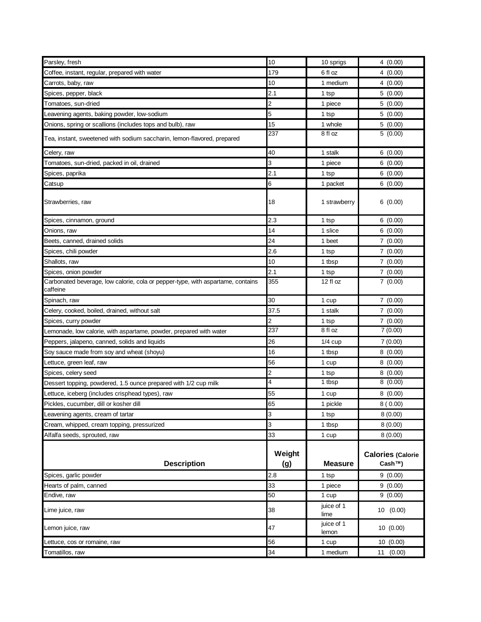| Parsley, fresh                                                                              | 10                      | 10 sprigs           | 4(0.00)                            |
|---------------------------------------------------------------------------------------------|-------------------------|---------------------|------------------------------------|
| Coffee, instant, regular, prepared with water                                               | 179                     | 6 fl oz             | 4(0.00)                            |
| Carrots, baby, raw                                                                          | 10                      | 1 medium            | 4(0.00)                            |
| Spices, pepper, black                                                                       | 2.1                     | 1 tsp               | 5(0.00)                            |
| Tomatoes, sun-dried                                                                         | $\overline{\mathbf{c}}$ | 1 piece             | 5(0.00)                            |
| Leavening agents, baking powder, low-sodium                                                 | 5                       | 1 tsp               | 5(0.00)                            |
| Onions, spring or scallions (includes tops and bulb), raw                                   | 15                      | 1 whole             | 5(0.00)                            |
| Tea, instant, sweetened with sodium saccharin, lemon-flavored, prepared                     | 237                     | 8 fl oz             | 5(0.00)                            |
| Celery, raw                                                                                 | 40                      | 1 stalk             | 6(0.00)                            |
| Tomatoes, sun-dried, packed in oil, drained                                                 | 3                       | 1 piece             | 6(0.00)                            |
| Spices, paprika                                                                             | 2.1                     | 1 tsp               | 6(0.00)                            |
| Catsup                                                                                      | 6                       | 1 packet            | 6(0.00)                            |
| Strawberries, raw                                                                           | 18                      | 1 strawberry        | 6(0.00)                            |
| Spices, cinnamon, ground                                                                    | 2.3                     | 1 tsp               | 6(0.00)                            |
| Onions, raw                                                                                 | 14                      | 1 slice             | 6(0.00)                            |
| Beets, canned, drained solids                                                               | 24                      | 1 beet              | 7(0.00)                            |
| Spices, chili powder                                                                        | 2.6                     | 1 tsp               | 7(0.00)                            |
| Shallots, raw                                                                               | 10                      | 1 tbsp              | 7(0.00)                            |
| Spices, onion powder                                                                        | 2.1                     | 1 tsp               | 7(0.00)                            |
| Carbonated beverage, low calorie, cola or pepper-type, with aspartame, contains<br>caffeine | 355                     | 12 fl oz            | 7(0.00)                            |
| Spinach, raw                                                                                | 30                      | 1 cup               | 7(0.00)                            |
| Celery, cooked, boiled, drained, without salt                                               | 37.5                    | 1 stalk             | 7(0.00)                            |
| Spices, curry powder                                                                        | 2                       | 1 tsp               | 7(0.00)                            |
| Lemonade, low calorie, with aspartame, powder, prepared with water                          | 237                     | 8 fl oz             | 7(0.00)                            |
| Peppers, jalapeno, canned, solids and liquids                                               | 26                      | $1/4$ cup           | 7(0.00)                            |
| Soy sauce made from soy and wheat (shoyu)                                                   | 16                      | 1 tbsp              | 8(0.00)                            |
| Lettuce, green leaf, raw                                                                    | 56                      | 1 cup               | 8(0.00)                            |
| Spices, celery seed                                                                         | 2                       | 1 tsp               | 8(0.00)                            |
| Dessert topping, powdered, 1.5 ounce prepared with 1/2 cup milk                             | 4                       | 1 tbsp              | 8(0.00)                            |
| Lettuce, iceberg (includes crisphead types), raw                                            | 55                      | 1 cup               | 8(0.00)                            |
| Pickles, cucumber, dill or kosher dill                                                      | 65                      | 1 pickle            | 8(0.00)                            |
| Leavening agents, cream of tartar                                                           | 3                       | 1 tsp               | 8(0.00)                            |
| Cream, whipped, cream topping, pressurized                                                  | 3                       | 1 tbsp              | 8(0.00)                            |
| Alfalfa seeds, sprouted, raw                                                                | 33                      | 1 cup               | 8(0.00)                            |
| <b>Description</b>                                                                          | Weight<br>(g)           | <b>Measure</b>      | <b>Calories (Calorie</b><br>Cash™) |
| Spices, garlic powder                                                                       | 2.8                     | 1 tsp               | 9(0.00)                            |
| Hearts of palm, canned                                                                      | 33                      | 1 piece             | 9(0.00)                            |
| Endive, raw                                                                                 | 50                      | 1 cup               | 9(0.00)                            |
| Lime juice, raw                                                                             | 38                      | juice of 1<br>lime  | 10 (0.00)                          |
| Lemon juice, raw                                                                            | 47                      | juice of 1<br>lemon | 10(0.00)                           |
| Lettuce, cos or romaine, raw                                                                | 56                      | 1 cup               | 10(0.00)                           |
| Tomatillos, raw                                                                             | 34                      | 1 medium            | 11 (0.00)                          |